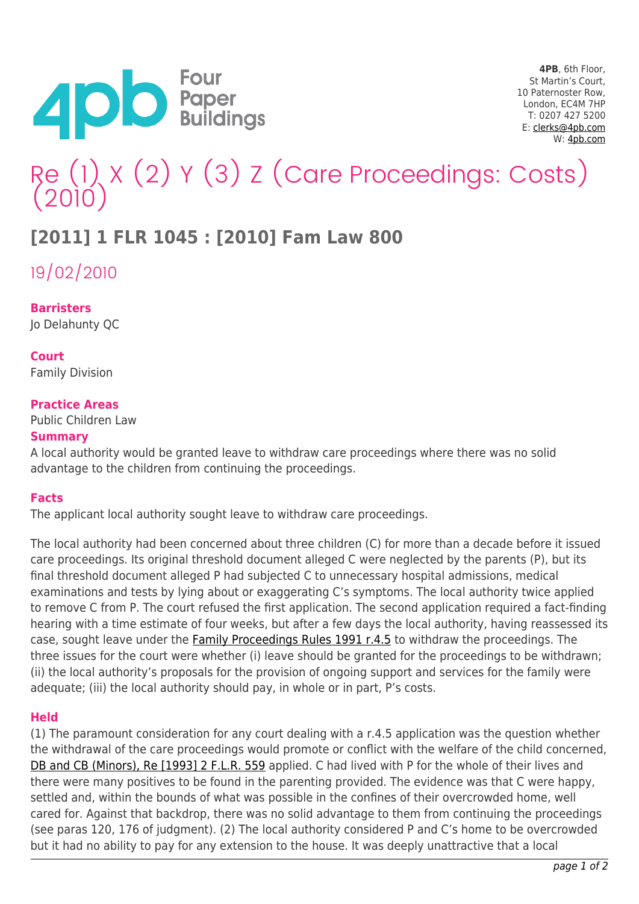

# Re (1) X (2) Y (3) Z (Care Proceedings: Costs) (2010)

## **[2011] 1 FLR 1045 : [2010] Fam Law 800**

19/02/2010

**Barristers** Jo Delahunty QC

**Court** Family Division

### **Practice Areas**

Public Children Law

#### **Summary**

A local authority would be granted leave to withdraw care proceedings where there was no solid advantage to the children from continuing the proceedings.

#### **Facts**

The applicant local authority sought leave to withdraw care proceedings.

The local authority had been concerned about three children (C) for more than a decade before it issued care proceedings. Its original threshold document alleged C were neglected by the parents (P), but its final threshold document alleged P had subjected C to unnecessary hospital admissions, medical examinations and tests by lying about or exaggerating C's symptoms. The local authority twice applied to remove C from P. The court refused the first application. The second application required a fact-finding hearing with a time estimate of four weeks, but after a few days the local authority, having reassessed its case, sought leave under the [Family Proceedings Rules 1991 r.4.5](https://www.lawtel.com/UK/Documents/AI0911247) to withdraw the proceedings. The three issues for the court were whether (i) leave should be granted for the proceedings to be withdrawn; (ii) the local authority's proposals for the provision of ongoing support and services for the family were adequate; (iii) the local authority should pay, in whole or in part, P's costs.

#### **Held**

(1) The paramount consideration for any court dealing with a r.4.5 application was the question whether the withdrawal of the care proceedings would promote or conflict with the welfare of the child concerned, [DB and CB \(Minors\), Re \[1993\] 2 F.L.R. 559](https://www.lawtel.com/UK/Documents/AC0000975) applied. C had lived with P for the whole of their lives and there were many positives to be found in the parenting provided. The evidence was that C were happy, settled and, within the bounds of what was possible in the confines of their overcrowded home, well cared for. Against that backdrop, there was no solid advantage to them from continuing the proceedings (see paras 120, 176 of judgment). (2) The local authority considered P and C's home to be overcrowded but it had no ability to pay for any extension to the house. It was deeply unattractive that a local